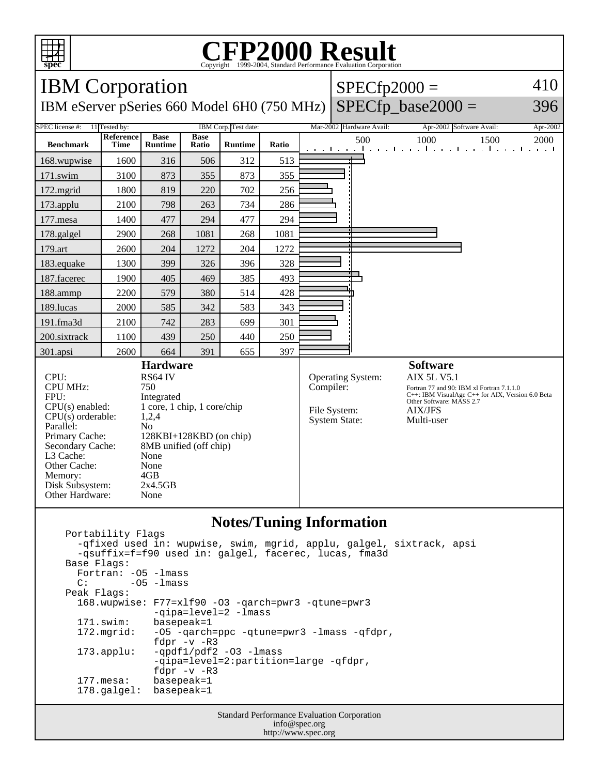

## **CFP2000 Result** Copyright ©1999-2004, Standard Performance Evaluati

IBM Corporation IBM eServer pSeries 660 Model 6H0 (750 MHz)  $SPECfp2000 =$  $SPECfp\_base2000 =$ 410 396 SPEC license #: 11 Tested by: IBM Corp. Test date: Mar-2002 Hardware Avail: Apr-2002 Software Avail: Apr-2002 **Benchmark Reference Time Base Runtime Base Ratio Runtime Ratio** 500 1000 1500 2000 168.wupwise 1600 316 506 312 513 171.swim | 3100 | 873 | 355 | 873 | 355 172.mgrid | 1800 | 819 | 220 | 702 | 256 173.applu | 2100 | 798 | 263 | 734 | 286 177.mesa | 1400 | 477 | 294 | 477 | 294 178.galgel | 2900 | 268 | 1081 | 268 | 1081 179.art 2600 204 1272 204 1272 183.equake 1300 399 326 396 328 187.facerec | 1900 | 405 | 469 | 385 | 493 188.ammp | 2200 | 579 | 380 | 514 | 428 189.lucas | 2000 | 585 | 342 | 583 | 343 191.fma3d 2100 742 283 699 301 200.sixtrack 1100 439 250 440 250 301.apsi 2600 664 391 655 397 **Hardware** CPU: RS64 IV<br>CPU MHz: 750 CPU MHz: FPU: Integrated  $CPU(s)$  enabled:  $1 core, 1 chip, 1 core/chip$ <br> $CPU(s)$  orderable:  $1.2.4$  $CPU(s)$  orderable: Parallel: No<br>Primary Cache: 128 128KBI+128KBD (on chip) Secondary Cache: 8MB unified (off chip) L3 Cache: None<br>Other Cache: None Other Cache: None<br>Memory: 4GB Memory: 4GB<br>Disk Subsystem: 2x4.5GB Disk Subsystem: Other Hardware: None **Software** Operating System: AIX 5L V5.1<br>Compiler: Fortran 77 and 90:1 Fortran 77 and 90: IBM xl Fortran 7.1.1.0 C++: IBM VisualAge C++ for AIX, Version 6.0 Beta Other Software: MASS 2.7 File System: AIX/JFS System State: Multi-user

# **Notes/Tuning Information**

| Portability Flags                                 |                                                                                                    |
|---------------------------------------------------|----------------------------------------------------------------------------------------------------|
|                                                   | -qfixed used in: wupwise, swim, mgrid, applu, galgel, sixtrack, apsi                               |
|                                                   | -qsuffix=f=f90 used in: qalqel, facerec, lucas, fma3d                                              |
| Base Flags:                                       |                                                                                                    |
| Fortran: -05 -lmass                               |                                                                                                    |
| $C:$ $-05$ $-1$ mass                              |                                                                                                    |
| Peak Flags:                                       |                                                                                                    |
|                                                   | $168.$ wupwise: F77=xlf90 -03 -qarch=pwr3 -qtune=pwr3<br>-gipa=level=2 -lmass                      |
| 171.swim: basepeak=1                              |                                                                                                    |
| $172.\text{mgrid}:$                               | -05 -garch=ppc -gtune=pwr3 -lmass -gfdpr,<br>fdpr $-v$ $-R3$                                       |
| $173.\text{applu}:$                               | $-$ qpdf $1$ /pdf $2$ -03 -lmass<br>$-$ qipa=level=2:partition=large $-$ qfdpr,<br>fdpr $-v$ $-R3$ |
| 177.mesa: basepeak=1<br>$178$ .galgel: basepeak=1 |                                                                                                    |

Standard Performance Evaluation Corporation info@spec.org http://www.spec.org